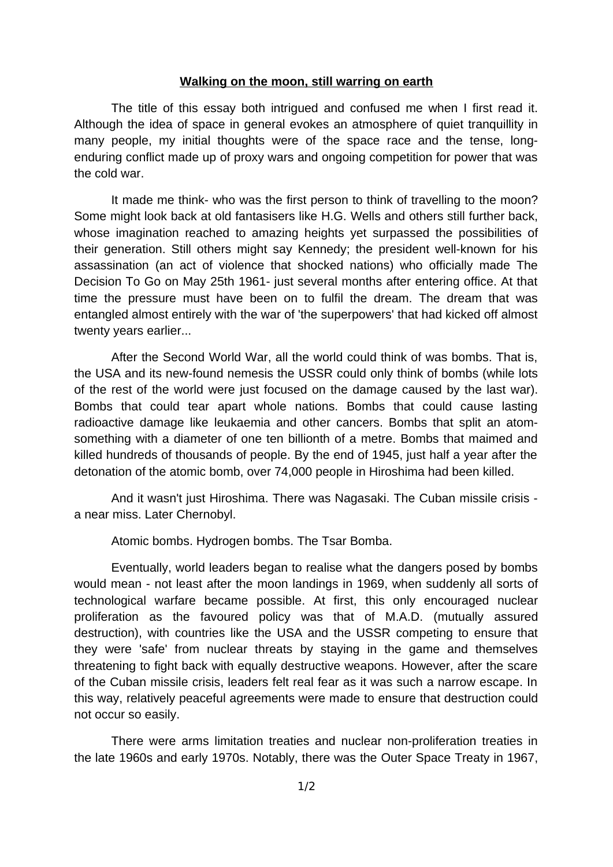## **Walking on the moon, still warring on earth**

The title of this essay both intrigued and confused me when I first read it. Although the idea of space in general evokes an atmosphere of quiet tranquillity in many people, my initial thoughts were of the space race and the tense, longenduring conflict made up of proxy wars and ongoing competition for power that was the cold war.

It made me think- who was the first person to think of travelling to the moon? Some might look back at old fantasisers like H.G. Wells and others still further back, whose imagination reached to amazing heights yet surpassed the possibilities of their generation. Still others might say Kennedy; the president well-known for his assassination (an act of violence that shocked nations) who officially made The Decision To Go on May 25th 1961- just several months after entering office. At that time the pressure must have been on to fulfil the dream. The dream that was entangled almost entirely with the war of 'the superpowers' that had kicked off almost twenty years earlier...

After the Second World War, all the world could think of was bombs. That is, the USA and its new-found nemesis the USSR could only think of bombs (while lots of the rest of the world were just focused on the damage caused by the last war). Bombs that could tear apart whole nations. Bombs that could cause lasting radioactive damage like leukaemia and other cancers. Bombs that split an atomsomething with a diameter of one ten billionth of a metre. Bombs that maimed and killed hundreds of thousands of people. By the end of 1945, just half a year after the detonation of the atomic bomb, over 74,000 people in Hiroshima had been killed.

And it wasn't just Hiroshima. There was Nagasaki. The Cuban missile crisis a near miss. Later Chernobyl.

Atomic bombs. Hydrogen bombs. The Tsar Bomba.

Eventually, world leaders began to realise what the dangers posed by bombs would mean - not least after the moon landings in 1969, when suddenly all sorts of technological warfare became possible. At first, this only encouraged nuclear proliferation as the favoured policy was that of M.A.D. (mutually assured destruction), with countries like the USA and the USSR competing to ensure that they were 'safe' from nuclear threats by staying in the game and themselves threatening to fight back with equally destructive weapons. However, after the scare of the Cuban missile crisis, leaders felt real fear as it was such a narrow escape. In this way, relatively peaceful agreements were made to ensure that destruction could not occur so easily.

There were arms limitation treaties and nuclear non-proliferation treaties in the late 1960s and early 1970s. Notably, there was the Outer Space Treaty in 1967,